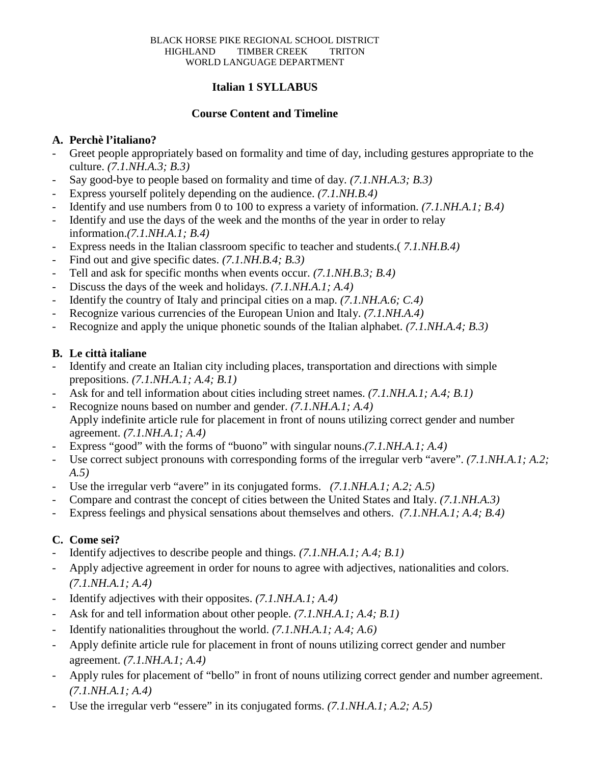# **Italian 1 SYLLABUS**

#### **Course Content and Timeline**

# **A. Perchè l'italiano?**

- Greet people appropriately based on formality and time of day, including gestures appropriate to the culture. *(7.1.NH.A.3; B.3)*
- Say good-bye to people based on formality and time of day. *(7.1.NH.A.3; B.3)*
- Express yourself politely depending on the audience. *(7.1.NH.B.4)*
- Identify and use numbers from 0 to 100 to express a variety of information. *(7.1.NH.A.1; B.4)*
- Identify and use the days of the week and the months of the year in order to relay information.*(7.1.NH.A.1; B.4)*
- Express needs in the Italian classroom specific to teacher and students.(7.1.NH,B.4)
- Find out and give specific dates. *(7.1.NH.B.4; B.3)*
- Tell and ask for specific months when events occur. *(7.1.NH.B.3; B.4)*
- Discuss the days of the week and holidays. *(7.1.NH.A.1; A.4)*
- Identify the country of Italy and principal cities on a map. *(7.1.NH.A.6; C.4)*
- Recognize various currencies of the European Union and Italy. *(7.1.NH.A.4)*
- Recognize and apply the unique phonetic sounds of the Italian alphabet. *(7.1.NH.A.4; B.3)*

# **B. Le città italiane**

- Identify and create an Italian city including places, transportation and directions with simple prepositions. *(7.1.NH.A.1; A.4; B.1)*
- Ask for and tell information about cities including street names. *(7.1.NH.A.1; A.4; B.1)*
- Recognize nouns based on number and gender. *(7.1.NH.A.1; A.4)* Apply indefinite article rule for placement in front of nouns utilizing correct gender and number agreement. *(7.1.NH.A.1; A.4)*
- Express "good" with the forms of "buono" with singular nouns.*(7.1.NH.A.1; A.4)*
- Use correct subject pronouns with corresponding forms of the irregular verb "avere". *(7.1.NH.A.1; A.2; A.5)*
- Use the irregular verb "avere" in its conjugated forms. *(7.1.NH.A.1; A.2; A.5)*
- Compare and contrast the concept of cities between the United States and Italy. *(7.1.NH.A.3)*
- Express feelings and physical sensations about themselves and others. *(7.1.NH.A.1; A.4; B.4)*

# **C. Come sei?**

- Identify adjectives to describe people and things. *(7.1.NH.A.1; A.4; B.1)*
- Apply adjective agreement in order for nouns to agree with adjectives, nationalities and colors. *(7.1.NH.A.1; A.4)*
- Identify adjectives with their opposites. *(7.1.NH.A.1; A.4)*
- Ask for and tell information about other people. *(7.1.NH.A.1; A.4; B.1)*
- Identify nationalities throughout the world. *(7.1.NH.A.1; A.4; A.6)*
- Apply definite article rule for placement in front of nouns utilizing correct gender and number agreement. *(7.1.NH.A.1; A.4)*
- Apply rules for placement of "bello" in front of nouns utilizing correct gender and number agreement. *(7.1.NH.A.1; A.4)*
- Use the irregular verb "essere" in its conjugated forms. *(7.1.NH.A.1; A.2; A.5)*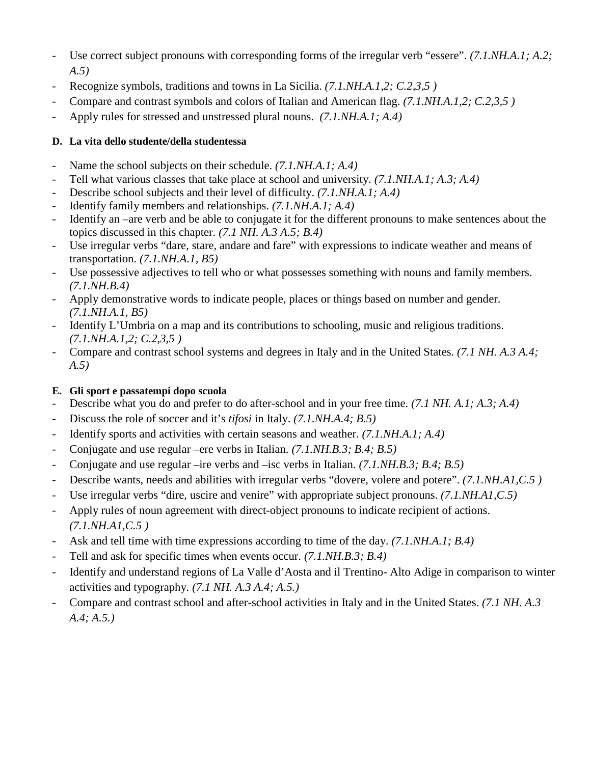- Use correct subject pronouns with corresponding forms of the irregular verb "essere". *(7.1.NH.A.1; A.2; A.5)*
- Recognize symbols, traditions and towns in La Sicilia. *(7.1.NH.A.1,2; C.2,3,5)*
- Compare and contrast symbols and colors of Italian and American flag. *(7.1.NH.A.1,2; C.2,3,5 )*
- Apply rules for stressed and unstressed plural nouns. *(7.1.NH.A.1; A.4)*

# **D. La vita dello studente/della studentessa**

- Name the school subjects on their schedule. *(7.1.NH.A.1; A.4)*
- Tell what various classes that take place at school and university. *(7.1.NH.A.1; A.3; A.4)*
- Describe school subjects and their level of difficulty. *(7.1.NH.A.1; A.4)*
- Identify family members and relationships. *(7.1.NH.A.1; A.4)*
- Identify an –are verb and be able to conjugate it for the different pronouns to make sentences about the topics discussed in this chapter. *(7.1 NH. A.3 A.5; B.4)*
- Use irregular verbs "dare, stare, andare and fare" with expressions to indicate weather and means of transportation. *(7.1.NH.A.1, B5)*
- Use possessive adjectives to tell who or what possesses something with nouns and family members. *(7.1.NH.B.4)*
- Apply demonstrative words to indicate people, places or things based on number and gender. *(7.1.NH.A.1, B5)*
- Identify L'Umbria on a map and its contributions to schooling, music and religious traditions. *(7.1.NH.A.1,2; C.2,3,5 )*
- Compare and contrast school systems and degrees in Italy and in the United States. *(7.1 NH. A.3 A.4; A.5)*

# **E. Gli sport e passatempi dopo scuola**

- Describe what you do and prefer to do after-school and in your free time. *(7.1 NH. A.1; A.3; A.4)*
- Discuss the role of soccer and it's *tifosi* in Italy. *(7.1.NH.A.4; B.5)*
- Identify sports and activities with certain seasons and weather. *(7.1.NH.A.1; A.4)*
- Conjugate and use regular –ere verbs in Italian. *(7.1.NH.B.3; B.4; B.5)*
- Conjugate and use regular –ire verbs and –isc verbs in Italian. *(7.1.NH.B.3; B.4; B.5)*
- Describe wants, needs and abilities with irregular verbs "dovere, volere and potere". *(7.1.NH.A1,C.5 )*
- Use irregular verbs "dire, uscire and venire" with appropriate subject pronouns. *(7.1.NH.A1,C.5)*
- Apply rules of noun agreement with direct-object pronouns to indicate recipient of actions. *(7.1.NH.A1,C.5 )*
- Ask and tell time with time expressions according to time of the day. *(7.1.NH.A.1; B.4)*
- Tell and ask for specific times when events occur. *(7.1.NH.B.3; B.4)*
- Identify and understand regions of La Valle d'Aosta and il Trentino- Alto Adige in comparison to winter activities and typography*. (7.1 NH. A.3 A.4; A.5.)*
- Compare and contrast school and after-school activities in Italy and in the United States. *(7.1 NH. A.3 A.4; A.5.)*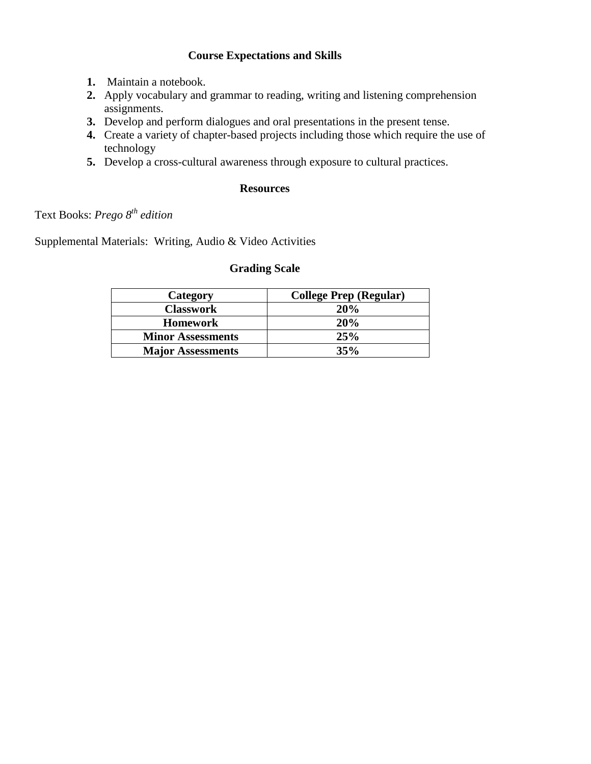# **Course Expectations and Skills**

- **1.** Maintain a notebook.
- **2.** Apply vocabulary and grammar to reading, writing and listening comprehension assignments.
- **3.** Develop and perform dialogues and oral presentations in the present tense.
- **4.** Create a variety of chapter-based projects including those which require the use of technology
- **5.** Develop a cross-cultural awareness through exposure to cultural practices.

#### **Resources**

# Text Books: *Prego 8th edition*

Supplemental Materials: Writing, Audio & Video Activities

#### **Grading Scale**

| Category                 | <b>College Prep (Regular)</b> |
|--------------------------|-------------------------------|
| <b>Classwork</b>         | 20%                           |
| <b>Homework</b>          | 20%                           |
| <b>Minor Assessments</b> | 25%                           |
| <b>Major Assessments</b> | 35%                           |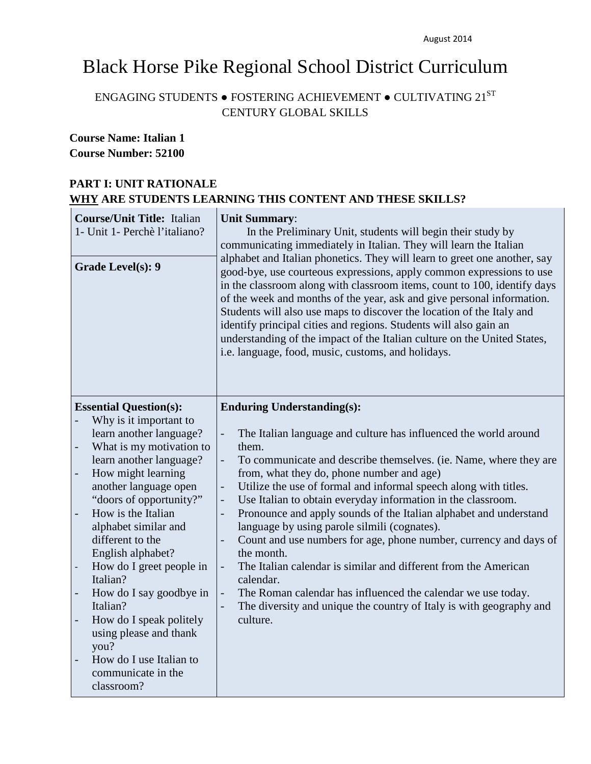# Black Horse Pike Regional School District Curriculum

# ENGAGING STUDENTS  $\bullet$  FOSTERING ACHIEVEMENT  $\bullet$  CULTIVATING  $21^{ST}$ CENTURY GLOBAL SKILLS

# **Course Name: Italian 1 Course Number: 52100**

# **PART I: UNIT RATIONALE WHY ARE STUDENTS LEARNING THIS CONTENT AND THESE SKILLS?**

| <b>Course/Unit Title: Italian</b><br>1- Unit 1- Perchè l'italiano?<br>Grade Level(s): 9                                                                                                                                                                                                                                                                                                                                                                                                                                                                                                        | <b>Unit Summary:</b><br>In the Preliminary Unit, students will begin their study by<br>communicating immediately in Italian. They will learn the Italian<br>alphabet and Italian phonetics. They will learn to greet one another, say<br>good-bye, use courteous expressions, apply common expressions to use<br>in the classroom along with classroom items, count to 100, identify days<br>of the week and months of the year, ask and give personal information.<br>Students will also use maps to discover the location of the Italy and<br>identify principal cities and regions. Students will also gain an<br>understanding of the impact of the Italian culture on the United States,<br>i.e. language, food, music, customs, and holidays.                                                                                                       |
|------------------------------------------------------------------------------------------------------------------------------------------------------------------------------------------------------------------------------------------------------------------------------------------------------------------------------------------------------------------------------------------------------------------------------------------------------------------------------------------------------------------------------------------------------------------------------------------------|-----------------------------------------------------------------------------------------------------------------------------------------------------------------------------------------------------------------------------------------------------------------------------------------------------------------------------------------------------------------------------------------------------------------------------------------------------------------------------------------------------------------------------------------------------------------------------------------------------------------------------------------------------------------------------------------------------------------------------------------------------------------------------------------------------------------------------------------------------------|
| <b>Essential Question(s):</b><br>Why is it important to<br>learn another language?<br>What is my motivation to<br>$\overline{\phantom{0}}$<br>learn another language?<br>How might learning<br>$\overline{\phantom{a}}$<br>another language open<br>"doors of opportunity?"<br>How is the Italian<br>alphabet similar and<br>different to the<br>English alphabet?<br>How do I greet people in<br>Italian?<br>How do I say goodbye in<br>Italian?<br>How do I speak politely<br>using please and thank<br>you?<br>How do I use Italian to<br>$\frac{1}{2}$<br>communicate in the<br>classroom? | <b>Enduring Understanding(s):</b><br>The Italian language and culture has influenced the world around<br>L,<br>them.<br>To communicate and describe themselves. (ie. Name, where they are<br>from, what they do, phone number and age)<br>Utilize the use of formal and informal speech along with titles.<br>$\overline{a}$<br>Use Italian to obtain everyday information in the classroom.<br>$\overline{a}$<br>Pronounce and apply sounds of the Italian alphabet and understand<br>language by using parole silmili (cognates).<br>Count and use numbers for age, phone number, currency and days of<br>the month.<br>The Italian calendar is similar and different from the American<br>calendar.<br>The Roman calendar has influenced the calendar we use today.<br>The diversity and unique the country of Italy is with geography and<br>culture. |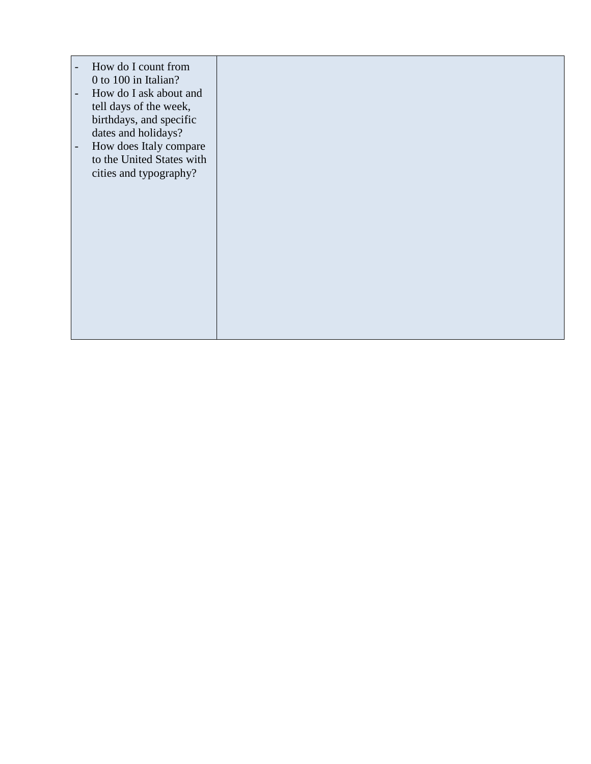| How do I count from<br>$\overline{\phantom{a}}$<br>0 to 100 in Italian?<br>How do I ask about and<br>$\overline{\phantom{a}}$<br>tell days of the week,<br>birthdays, and specific<br>dates and holidays?<br>How does Italy compare<br>$\overline{\phantom{a}}$<br>to the United States with<br>cities and typography? |  |
|------------------------------------------------------------------------------------------------------------------------------------------------------------------------------------------------------------------------------------------------------------------------------------------------------------------------|--|
|                                                                                                                                                                                                                                                                                                                        |  |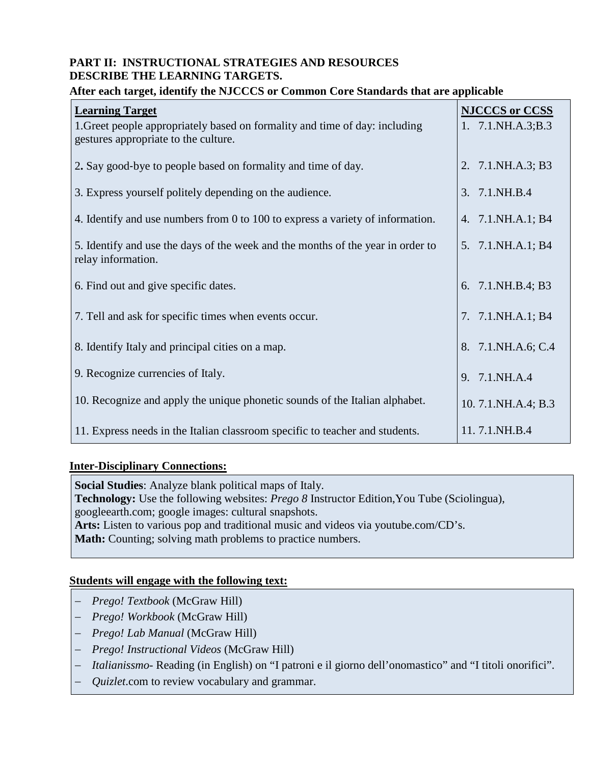# **PART II: INSTRUCTIONAL STRATEGIES AND RESOURCES DESCRIBE THE LEARNING TARGETS.**

## **Learning Target** 1.Greet people appropriately based on formality and time of day: including gestures appropriate to the culture. 2**.** Say good‐bye to people based on formality and time of day. 3. Express yourself politely depending on the audience. 4. Identify and use numbers from 0 to 100 to express a variety of information. 5. Identify and use the days of the week and the months of the year in order to relay information. 6. Find out and give specific dates. 7. Tell and ask for specific times when events occur. 8. Identify Italy and principal cities on a map. 9. Recognize currencies of Italy. 10. Recognize and apply the unique phonetic sounds of the Italian alphabet. 11. Express needs in the Italian classroom specific to teacher and students. **NJCCCS or CCSS** 1. 7.1.NH.A.3;B.3 2. 7.1.NH.A.3; B3 3. 7.1.NH.B.4 4. 7.1.NH.A.1; B4 5. 7.1.NH.A.1; B4 6. 7.1.NH.B.4; B3 7. 7.1.NH.A.1; B4 8. 7.1.NH.A.6; C.4 9. 7.1.NH.A.4 10. 7.1.NH.A.4; B.3 11. 7.1.NH.B.4

#### **After each target, identify the NJCCCS or Common Core Standards that are applicable**

#### **Inter-Disciplinary Connections:**

**Social Studies**: Analyze blank political maps of Italy.

**Technology:** Use the following websites: *Prego 8* Instructor Edition,You Tube (Sciolingua), googleearth.com; google images: cultural snapshots.

**Arts:** Listen to various pop and traditional music and videos via youtube.com/CD's.

**Math:** Counting; solving math problems to practice numbers.

# **Students will engage with the following text:**

- − *Prego! Textbook* (McGraw Hill)
- − *Prego! Workbook* (McGraw Hill)
- − *Prego! Lab Manual* (McGraw Hill)
- − *Prego! Instructional Videos* (McGraw Hill)
- − *Italianissmo* Reading (in English) on "I patroni e il giorno dell'onomastico" and "I titoli onorifici".
- − *Quizlet*.com to review vocabulary and grammar.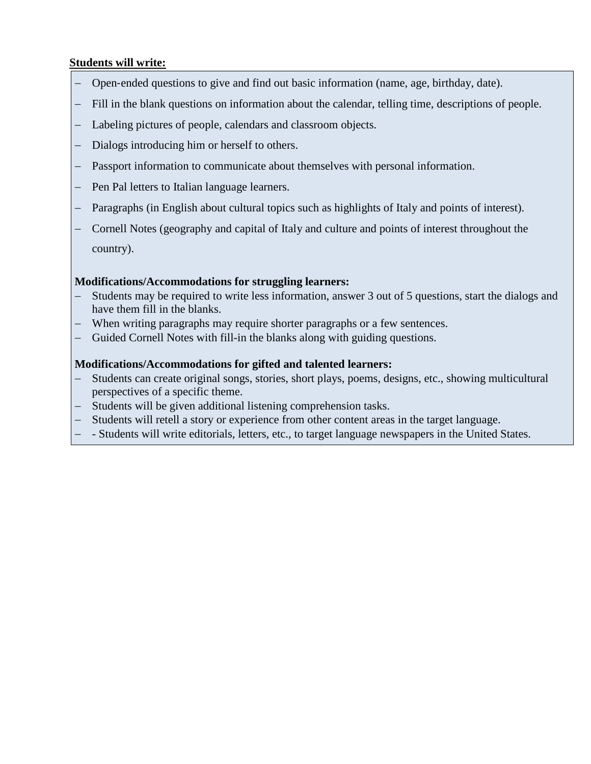# **Students will write:**

- − Open‐ended questions to give and find out basic information (name, age, birthday, date).
- − Fill in the blank questions on information about the calendar, telling time, descriptions of people.
- − Labeling pictures of people, calendars and classroom objects.
- − Dialogs introducing him or herself to others.
- − Passport information to communicate about themselves with personal information.
- − Pen Pal letters to Italian language learners.
- − Paragraphs (in English about cultural topics such as highlights of Italy and points of interest).
- − Cornell Notes (geography and capital of Italy and culture and points of interest throughout the country).

# **Modifications/Accommodations for struggling learners:**

- Students may be required to write less information, answer 3 out of 5 questions, start the dialogs and have them fill in the blanks.
- − When writing paragraphs may require shorter paragraphs or a few sentences.
- − Guided Cornell Notes with fill-in the blanks along with guiding questions.

- Students can create original songs, stories, short plays, poems, designs, etc., showing multicultural perspectives of a specific theme.
- − Students will be given additional listening comprehension tasks.
- − Students will retell a story or experience from other content areas in the target language.
- − Students will write editorials, letters, etc., to target language newspapers in the United States.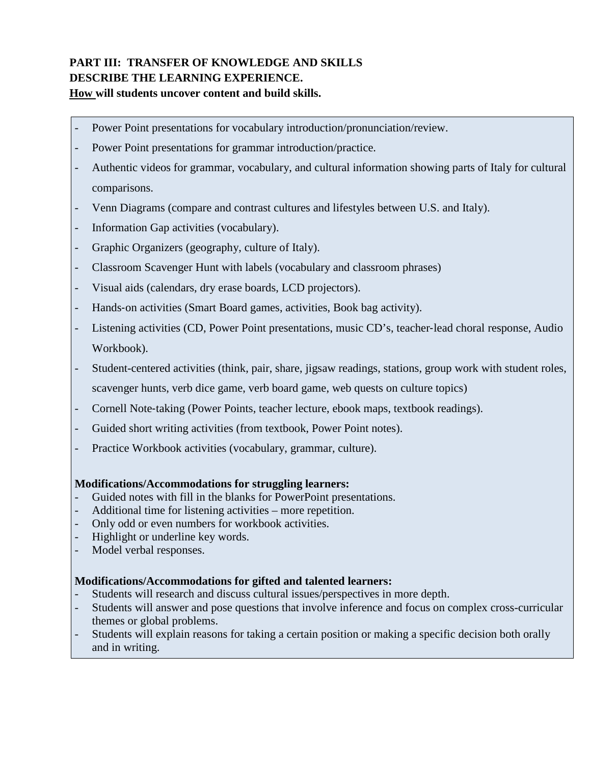# **PART III: TRANSFER OF KNOWLEDGE AND SKILLS DESCRIBE THE LEARNING EXPERIENCE. How will students uncover content and build skills.**

- Power Point presentations for vocabulary introduction/pronunciation/review.
- Power Point presentations for grammar introduction/practice.
- Authentic videos for grammar, vocabulary, and cultural information showing parts of Italy for cultural comparisons.
- Venn Diagrams (compare and contrast cultures and lifestyles between U.S. and Italy).
- Information Gap activities (vocabulary).
- Graphic Organizers (geography, culture of Italy).
- Classroom Scavenger Hunt with labels (vocabulary and classroom phrases)
- Visual aids (calendars, dry erase boards, LCD projectors).
- Hands‐on activities (Smart Board games, activities, Book bag activity).
- Listening activities (CD, Power Point presentations, music CD's, teacher‐lead choral response, Audio Workbook).
- Student-centered activities (think, pair, share, jigsaw readings, stations, group work with student roles, scavenger hunts, verb dice game, verb board game, web quests on culture topics)
- Cornell Note‐taking (Power Points, teacher lecture, ebook maps, textbook readings).
- Guided short writing activities (from textbook, Power Point notes).
- Practice Workbook activities (vocabulary, grammar, culture).

#### **Modifications/Accommodations for struggling learners:**

- Guided notes with fill in the blanks for PowerPoint presentations.
- Additional time for listening activities more repetition.
- Only odd or even numbers for workbook activities.
- Highlight or underline key words.
- Model verbal responses.

- Students will research and discuss cultural issues/perspectives in more depth.
- Students will answer and pose questions that involve inference and focus on complex cross-curricular themes or global problems.
- Students will explain reasons for taking a certain position or making a specific decision both orally and in writing.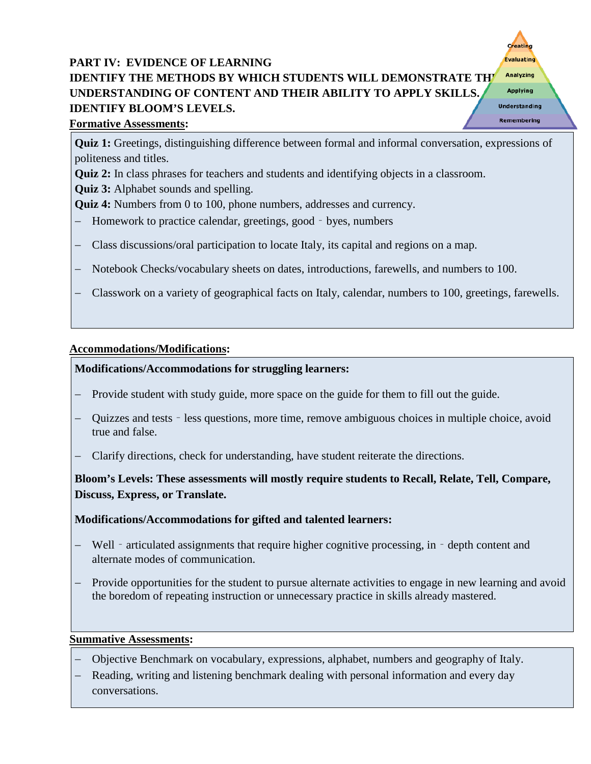# **PART IV: EVIDENCE OF LEARNING IDENTIFY THE METHODS BY WHICH STUDENTS WILL DEMONSTRATE THE Analyzing UNDERSTANDING OF CONTENT AND THEIR ABILITY TO APPLY SKILLS. IDENTIFY BLOOM'S LEVELS.**



# **Formative Assessments:**

**Quiz 1:** Greetings, distinguishing difference between formal and informal conversation, expressions of politeness and titles.

**Quiz 2:** In class phrases for teachers and students and identifying objects in a classroom.

**Quiz 3:** Alphabet sounds and spelling.

**Quiz 4:** Numbers from 0 to 100, phone numbers, addresses and currency.

- − Homework to practice calendar, greetings, good‐byes, numbers
- − Class discussions/oral participation to locate Italy, its capital and regions on a map.
- − Notebook Checks/vocabulary sheets on dates, introductions, farewells, and numbers to 100.
- − Classwork on a variety of geographical facts on Italy, calendar, numbers to 100, greetings, farewells.

# **Accommodations/Modifications:**

# **Modifications/Accommodations for struggling learners:**

- − Provide student with study guide, more space on the guide for them to fill out the guide.
- − Quizzes and tests less questions, more time, remove ambiguous choices in multiple choice, avoid true and false.
- − Clarify directions, check for understanding, have student reiterate the directions.

**Bloom's Levels: These assessments will mostly require students to Recall, Relate, Tell, Compare, Discuss, Express, or Translate.**

# **Modifications/Accommodations for gifted and talented learners:**

- − Well articulated assignments that require higher cognitive processing, in depth content and alternate modes of communication.
- Provide opportunities for the student to pursue alternate activities to engage in new learning and avoid the boredom of repeating instruction or unnecessary practice in skills already mastered.

# **Summative Assessments:**

- − Objective Benchmark on vocabulary, expressions, alphabet, numbers and geography of Italy.
- − Reading, writing and listening benchmark dealing with personal information and every day conversations.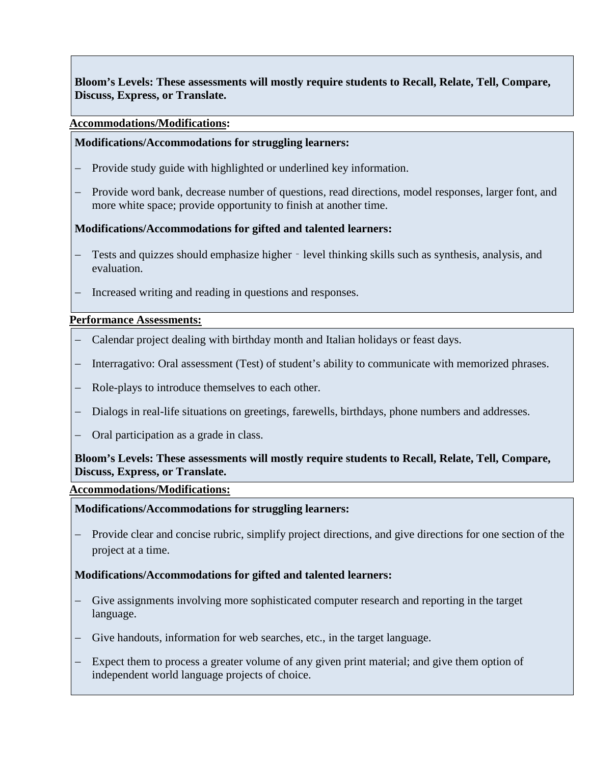**Bloom's Levels: These assessments will mostly require students to Recall, Relate, Tell, Compare, Discuss, Express, or Translate.** 

#### **Accommodations/Modifications:**

#### **Modifications/Accommodations for struggling learners:**

- − Provide study guide with highlighted or underlined key information.
- − Provide word bank, decrease number of questions, read directions, model responses, larger font, and more white space; provide opportunity to finish at another time.

#### **Modifications/Accommodations for gifted and talented learners:**

- Tests and quizzes should emphasize higher level thinking skills such as synthesis, analysis, and evaluation.
- − Increased writing and reading in questions and responses.

#### **Performance Assessments:**

- − Calendar project dealing with birthday month and Italian holidays or feast days.
- − Interragativo: Oral assessment (Test) of student's ability to communicate with memorized phrases.
- − Role-plays to introduce themselves to each other.
- − Dialogs in real-life situations on greetings, farewells, birthdays, phone numbers and addresses.
- − Oral participation as a grade in class.

#### **Bloom's Levels: These assessments will mostly require students to Recall, Relate, Tell, Compare, Discuss, Express, or Translate.**

#### **Accommodations/Modifications:**

#### **Modifications/Accommodations for struggling learners:**

Provide clear and concise rubric, simplify project directions, and give directions for one section of the project at a time.

- − Give assignments involving more sophisticated computer research and reporting in the target language.
- − Give handouts, information for web searches, etc., in the target language.
- − Expect them to process a greater volume of any given print material; and give them option of independent world language projects of choice.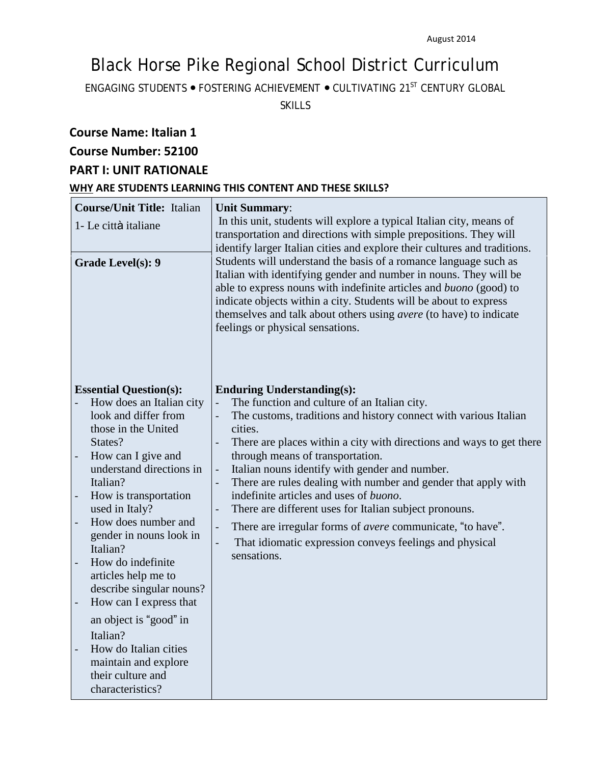# Black Horse Pike Regional School District Curriculum

ENGAGING STUDENTS ● FOSTERING ACHIEVEMENT ● CULTIVATING 21ST CENTURY GLOBAL

SKILLS

# **Course Name: Italian 1**

# **Course Number: 52100**

# **PART I: UNIT RATIONALE**

#### **WHY ARE STUDENTS LEARNING THIS CONTENT AND THESE SKILLS?**

| <b>Course/Unit Title: Italian</b><br>1- Le città italiane<br><b>Grade Level(s): 9</b>                                                                                                                                                                                                                                                                                                                                                                                               | <b>Unit Summary:</b><br>In this unit, students will explore a typical Italian city, means of<br>transportation and directions with simple prepositions. They will<br>identify larger Italian cities and explore their cultures and traditions.<br>Students will understand the basis of a romance language such as<br>Italian with identifying gender and number in nouns. They will be<br>able to express nouns with indefinite articles and buono (good) to<br>indicate objects within a city. Students will be about to express<br>themselves and talk about others using avere (to have) to indicate<br>feelings or physical sensations.                                        |
|-------------------------------------------------------------------------------------------------------------------------------------------------------------------------------------------------------------------------------------------------------------------------------------------------------------------------------------------------------------------------------------------------------------------------------------------------------------------------------------|-------------------------------------------------------------------------------------------------------------------------------------------------------------------------------------------------------------------------------------------------------------------------------------------------------------------------------------------------------------------------------------------------------------------------------------------------------------------------------------------------------------------------------------------------------------------------------------------------------------------------------------------------------------------------------------|
| <b>Essential Question(s):</b><br>How does an Italian city<br>look and differ from<br>those in the United<br>States?<br>How can I give and<br>understand directions in<br>Italian?<br>How is transportation<br>used in Italy?<br>How does number and<br>gender in nouns look in<br>Italian?<br>How do indefinite<br>articles help me to<br>describe singular nouns?<br>How can I express that<br>an object is "good" in<br>Italian?<br>How do Italian cities<br>maintain and explore | <b>Enduring Understanding(s):</b><br>The function and culture of an Italian city.<br>The customs, traditions and history connect with various Italian<br>cities.<br>There are places within a city with directions and ways to get there<br>through means of transportation.<br>Italian nouns identify with gender and number.<br>There are rules dealing with number and gender that apply with<br>indefinite articles and uses of <i>buono</i> .<br>There are different uses for Italian subject pronouns.<br>There are irregular forms of <i>avere</i> communicate, "to have".<br>÷,<br>That idiomatic expression conveys feelings and physical<br>$\overline{a}$<br>sensations. |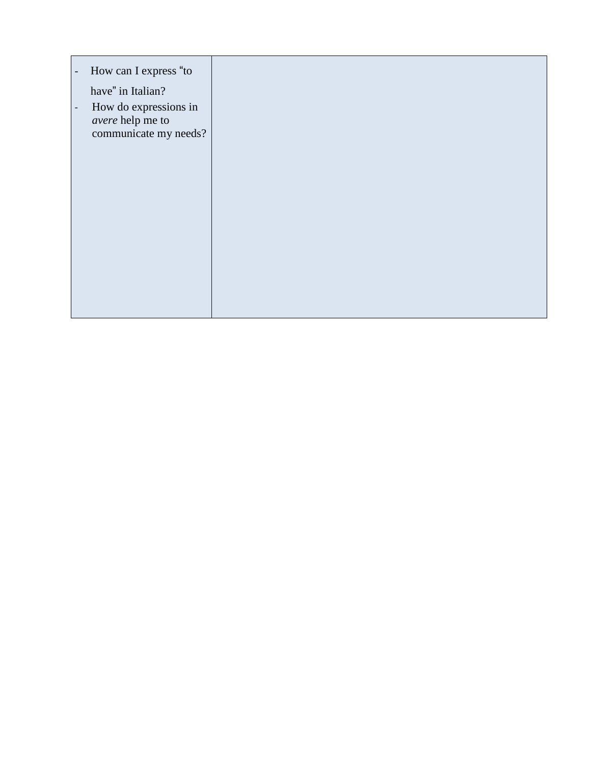| How can I express "to<br>$\overline{\phantom{a}}$                                              |  |
|------------------------------------------------------------------------------------------------|--|
| have" in Italian?                                                                              |  |
| How do expressions in<br>$\overline{\phantom{a}}$<br>avere help me to<br>communicate my needs? |  |
|                                                                                                |  |
|                                                                                                |  |
|                                                                                                |  |
|                                                                                                |  |
|                                                                                                |  |
|                                                                                                |  |
|                                                                                                |  |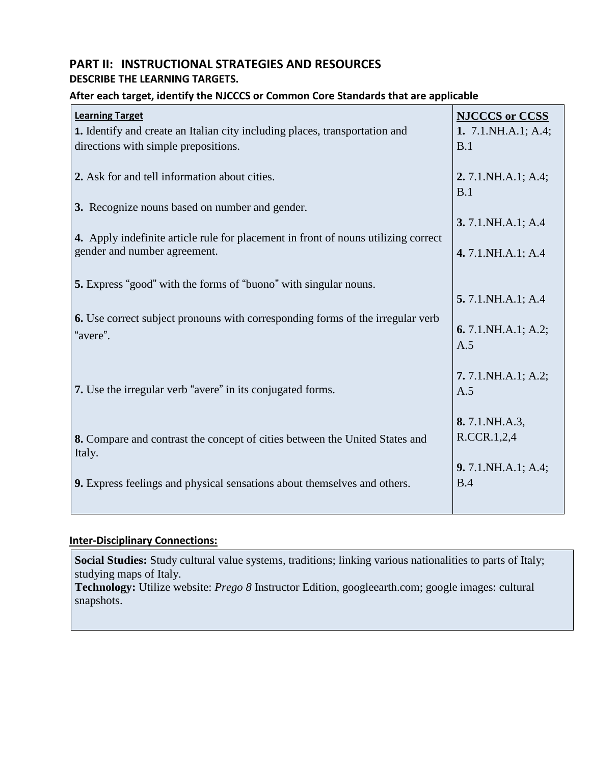# **PART II: INSTRUCTIONAL STRATEGIES AND RESOURCES DESCRIBE THE LEARNING TARGETS.**

# **After each target, identify the NJCCCS or Common Core Standards that are applicable**

| <b>Learning Target</b><br>1. Identify and create an Italian city including places, transportation and<br>directions with simple prepositions. | <b>NJCCCS</b> or CCSS<br>1. $7.1 \text{.} \text{NH}$ . A.1; A.4;<br>B.1 |
|-----------------------------------------------------------------------------------------------------------------------------------------------|-------------------------------------------------------------------------|
| 2. Ask for and tell information about cities.                                                                                                 | 2. 7.1. NH.A.1; A.4;<br>B.1                                             |
| 3. Recognize nouns based on number and gender.                                                                                                | 3.7.1.NH.A.1; A.4                                                       |
| 4. Apply indefinite article rule for placement in front of nouns utilizing correct<br>gender and number agreement.                            | 4.7.1.NH.A.1; A.4                                                       |
| <b>5.</b> Express "good" with the forms of "buono" with singular nouns.                                                                       | 5.7.1.NH.A.1; A.4                                                       |
| 6. Use correct subject pronouns with corresponding forms of the irregular verb<br>"avere".                                                    | 6.7.1.NH.A.1; A.2;<br>A.5                                               |
| 7. Use the irregular verb "avere" in its conjugated forms.                                                                                    | 7. $7.1$ . NH.A.1; A.2;<br>A.5                                          |
| 8. Compare and contrast the concept of cities between the United States and<br>Italy.                                                         | 8.7.1.NH.A.3,<br>R.CCR.1,2,4                                            |
| 9. Express feelings and physical sensations about themselves and others.                                                                      | 9. 7.1. NH.A.1; A.4;<br>B.4                                             |

# **Inter-Disciplinary Connections:**

**Social Studies:** Study cultural value systems, traditions; linking various nationalities to parts of Italy; studying maps of Italy.

Technology: Utilize website: Prego 8 Instructor Edition, googleearth.com; google images: cultural snapshots.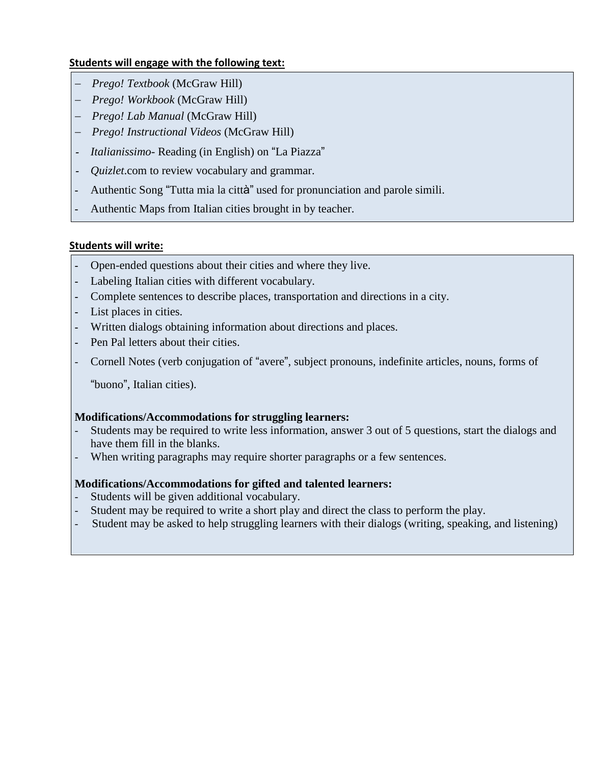# **Students will engage with the following text:**

- − *Prego! Textbook* (McGraw Hill)
- − *Prego! Workbook* (McGraw Hill)
- − *Prego! Lab Manual* (McGraw Hill)
- − *Prego! Instructional Videos* (McGraw Hill)
- **-** *Italianissimo* Reading (in English) on "La Piazza"
- **-** *Quizlet*.com to review vocabulary and grammar.
- **-** Authentic Song "Tutta mia la città" used for pronunciation and parole simili.
- **-** Authentic Maps from Italian cities brought in by teacher.

# **Students will write:**

- **-** Open-ended questions about their cities and where they live.
- **-** Labeling Italian cities with different vocabulary.
- **-** Complete sentences to describe places, transportation and directions in a city.
- **-** List places in cities.
- **-** Written dialogs obtaining information about directions and places.
- **-** Pen Pal letters about their cities.
- Cornell Notes (verb conjugation of "avere", subject pronouns, indefinite articles, nouns, forms of

"buono", Italian cities).

# **Modifications/Accommodations for struggling learners:**

- Students may be required to write less information, answer 3 out of 5 questions, start the dialogs and have them fill in the blanks.
- When writing paragraphs may require shorter paragraphs or a few sentences.

- Students will be given additional vocabulary.
- Student may be required to write a short play and direct the class to perform the play.
- Student may be asked to help struggling learners with their dialogs (writing, speaking, and listening)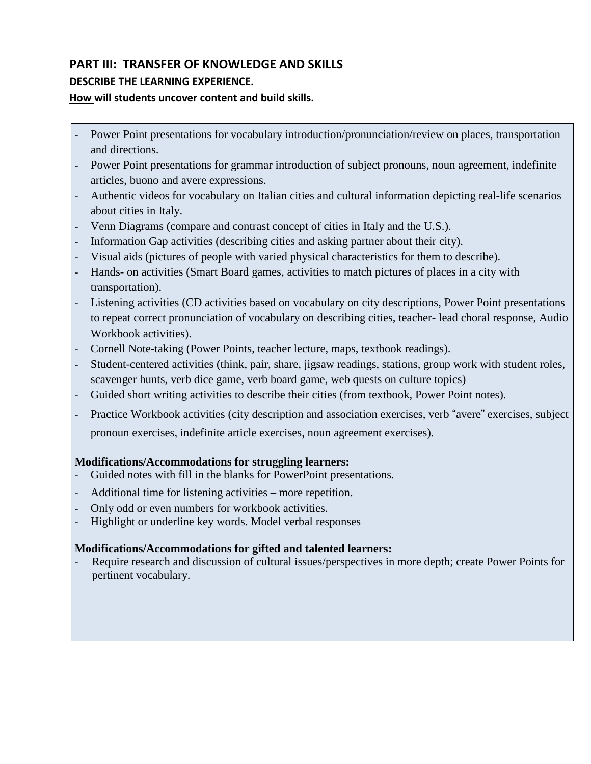# **PART III: TRANSFER OF KNOWLEDGE AND SKILLS**

# **DESCRIBE THE LEARNING EXPERIENCE.**

# **How will students uncover content and build skills.**

- Power Point presentations for vocabulary introduction/pronunciation/review on places, transportation and directions.
- Power Point presentations for grammar introduction of subject pronouns, noun agreement, indefinite articles, buono and avere expressions.
- Authentic videos for vocabulary on Italian cities and cultural information depicting real-life scenarios about cities in Italy.
- Venn Diagrams (compare and contrast concept of cities in Italy and the U.S.).
- Information Gap activities (describing cities and asking partner about their city).
- Visual aids (pictures of people with varied physical characteristics for them to describe).
- Hands- on activities (Smart Board games, activities to match pictures of places in a city with transportation).
- Listening activities (CD activities based on vocabulary on city descriptions, Power Point presentations to repeat correct pronunciation of vocabulary on describing cities, teacher- lead choral response, Audio Workbook activities).
- Cornell Note-taking (Power Points, teacher lecture, maps, textbook readings).
- Student-centered activities (think, pair, share, jigsaw readings, stations, group work with student roles, scavenger hunts, verb dice game, verb board game, web quests on culture topics)
- Guided short writing activities to describe their cities (from textbook, Power Point notes).
- Practice Workbook activities (city description and association exercises, verb "avere" exercises, subject pronoun exercises, indefinite article exercises, noun agreement exercises).

# **Modifications/Accommodations for struggling learners:**

- Guided notes with fill in the blanks for PowerPoint presentations.
- Additional time for listening activities more repetition.
- Only odd or even numbers for workbook activities.
- Highlight or underline key words. Model verbal responses

# **Modifications/Accommodations for gifted and talented learners:**

Require research and discussion of cultural issues/perspectives in more depth; create Power Points for pertinent vocabulary.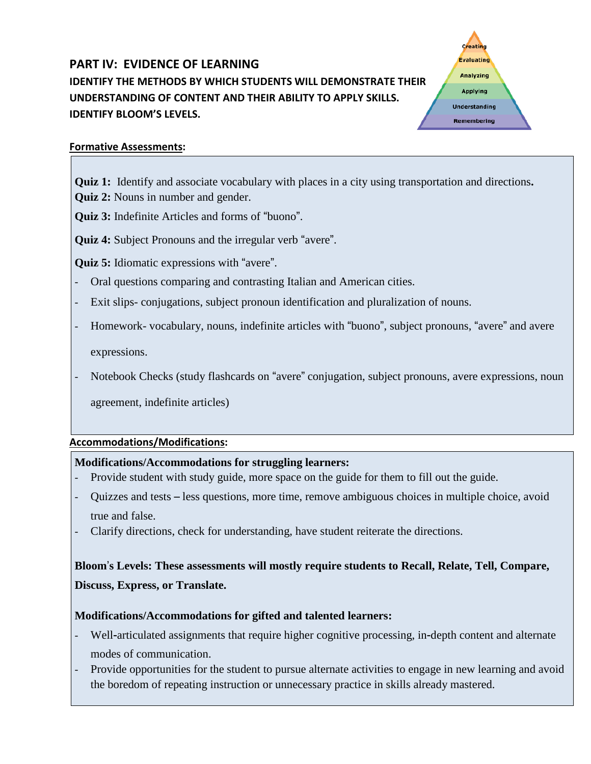# **PART IV: EVIDENCE OF LEARNING IDENTIFY THE METHODS BY WHICH STUDENTS WILL DEMONSTRATE THEIR UNDERSTANDING OF CONTENT AND THEIR ABILITY TO APPLY SKILLS. IDENTIFY BLOOM'S LEVELS.**

**Creatin** Evaluating **Analyzing Applying Understanding** Remembering

## **Formative Assessments:**

- **Quiz 1:** Identify and associate vocabulary with places in a city using transportation and directions**.**
- **Quiz 2:** Nouns in number and gender.

**Quiz 3:** Indefinite Articles and forms of "buono".

**Quiz 4:** Subject Pronouns and the irregular verb "avere".

**Quiz 5:** Idiomatic expressions with "avere".

- Oral questions comparing and contrasting Italian and American cities.
- Exit slips- conjugations, subject pronoun identification and pluralization of nouns.
- Homework- vocabulary, nouns, indefinite articles with "buono", subject pronouns, "avere" and avere

expressions.

- Notebook Checks (study flashcards on "avere" conjugation, subject pronouns, avere expressions, noun

agreement, indefinite articles)

# **Accommodations/Modifications:**

# **Modifications/Accommodations for struggling learners:**

- Provide student with study guide, more space on the guide for them to fill out the guide.
- Quizzes and tests less questions, more time, remove ambiguous choices in multiple choice, avoid true and false.
- Clarify directions, check for understanding, have student reiterate the directions.

# **Bloom**'**s Levels: These assessments will mostly require students to Recall, Relate, Tell, Compare, Discuss, Express, or Translate.**

- Well‐articulated assignments that require higher cognitive processing, in‐depth content and alternate modes of communication.
- Provide opportunities for the student to pursue alternate activities to engage in new learning and avoid the boredom of repeating instruction or unnecessary practice in skills already mastered.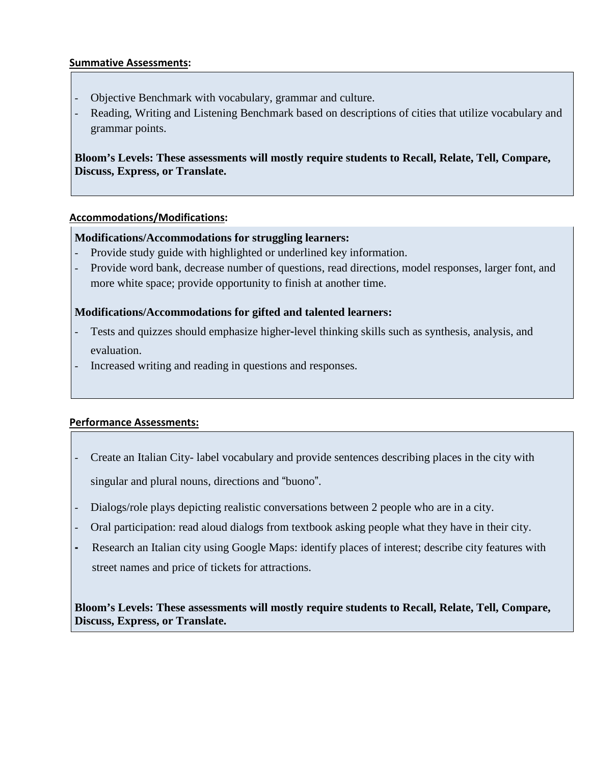#### **Summative Assessments:**

- Objective Benchmark with vocabulary, grammar and culture.
- Reading, Writing and Listening Benchmark based on descriptions of cities that utilize vocabulary and grammar points.

**Bloom's Levels: These assessments will mostly require students to Recall, Relate, Tell, Compare, Discuss, Express, or Translate.**

#### **Accommodations/Modifications:**

#### **Modifications/Accommodations for struggling learners:**

- Provide study guide with highlighted or underlined key information.
- Provide word bank, decrease number of questions, read directions, model responses, larger font, and more white space; provide opportunity to finish at another time.

#### **Modifications/Accommodations for gifted and talented learners:**

- Tests and quizzes should emphasize higher-level thinking skills such as synthesis, analysis, and evaluation.
- Increased writing and reading in questions and responses.

#### **Performance Assessments:**

- Create an Italian City- label vocabulary and provide sentences describing places in the city with singular and plural nouns, directions and "buono".
- Dialogs/role plays depicting realistic conversations between 2 people who are in a city.
- Oral participation: read aloud dialogs from textbook asking people what they have in their city.
- **-** Research an Italian city using Google Maps: identify places of interest; describe city features with street names and price of tickets for attractions.

**Bloom's Levels: These assessments will mostly require students to Recall, Relate, Tell, Compare, Discuss, Express, or Translate.**